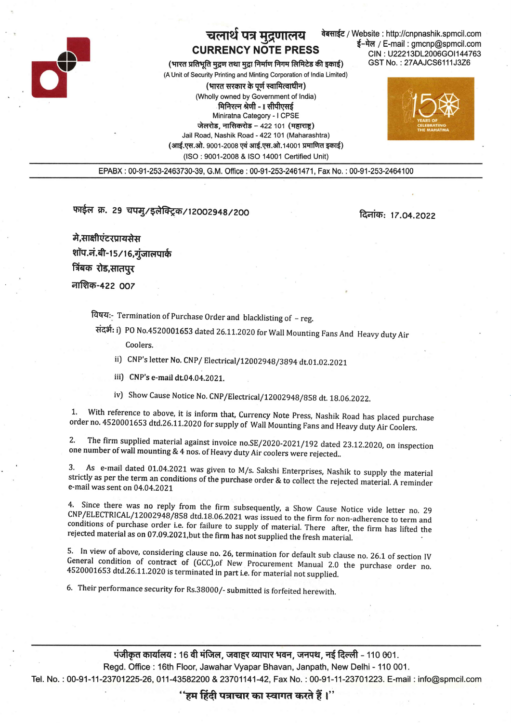

## चलार्थ पत्र मुद्रणालय CURRENGY NOTE PRESS

(भारत प्रतिभूति मुद्रण तथा मुद्रा निर्माण निगम लिमिटेड की इकाई) (A Unit of Security Printing and Minting Corporation of lndia Limited)

(भारत सरकार के पर्ण स्वामित्वाधीन) (Wholly owned by Government of lndia) मिनिरत्न श्रेणी - I सीपीएसई Miniratna Category - I CPSE जेलरोड, नासिकरोड - 422 101 (महाराष्ट) Jail Road, Nashik Road - 422 101 (Maharashtra) (आई.एस.ओ. 9001-2008 एवं आई.एस.ओ.14001 प्रमाणित इकाई) (lSO : 9001-2008 & ISO 14001 Certified Unit)

वेबसाईट / Website : http://cnpnashik.spmcil.com ई-मेल / E-mail : gmcnp@spmcil.com CIN : U2221 3DL2006GOI 1 447 63 GST No. : 27 AAJCS6 111 J3Zo



EPABX :00-91-253-2463730-39, G.M. Office :00-91-253-2461471, Fax No. : 00-91-253-2464100

फाईल क्र. 29 चपमु/इलेक्ट्रिक/12002948/200

 $: 17.04.2022$ 

मे,साक्षीएंटरप्रायसेस शॉप.नं.बी-15/16,गुंजालपार्क त्रिंबक रोड,सातपुर **नाशिक-422 007** 

Eqq:- Termination of purchase 0rder and blacklisting of \_ reg.

संदर्भ: i) PO No.4520001653 dated 26.11.2020 for Wall Mounting Fans And Heavy duty Air

Coolers.

ii) CNP's letter No. CNP/ Electrical/12002948/3894 dt.01.02.2021

- iii) CNP's e-mail dt.04.04.2021.
- iv) Show Cause Notice No. CNP/Electrical/12002948/858 dt. 18.06.2022.

1. With reference to above, it is inform that, Currency Note Press, Nashik Road has placed purchase order no. 4520001653 dtd.26.11.2020 for supply of Wall Mounting Fans and Heavy duty Air Coolers.

2. The firm supplied material against invoice no.SE/2020-2021/192 dated 23.12.2020, on inspection one number of wall mounting & 4 nos. of Heavy duty Air coolers were rejected..

3. As e-mail dated 01.04.2021 was given to M/s. Sakshi Enterprises, Nashik to supply the material strictly as per the term an conditions of the purchase order  $&$  to collect the rejected material. A reminder e-mail was se

4. Since there was no reply from the firm subsequently, a Show Cause Notice vide letter no. 29 CNP/ELECTRICAL/12002948/858 dtd.18.06.2021 was issued to the firm for non-adherence to term and conditions of purchase order i.

5. In view of above, considering clause no. 26, termination for default sub clause no. 26.1 of section IV General condition of contract of (GCC), of New Procurement Manual 2.0 the purchase order no. 4520001653 dtd.26.11.20

6. Their performance security for Rs.3g000/- submitted is forfeited herewith.

पंजीकृत कार्यालय : 16 वी मंजिल, जवाहर व्यापार भवन, जनपथ, नई दिल्ली – 110 001. Regd. Office: 16th Floor, Jawahar Vyapar Bhavan, Janpath, New Delhi - 110 001. Tel. No.: 00-91-11-23701225-26, 011-43582200 & 23701141-42, Fax No.: 00-91-11-23701223. E-mail: info@spmcil.com

''हम हिंदी पत्राचार का स्वागत करते हैं ।''